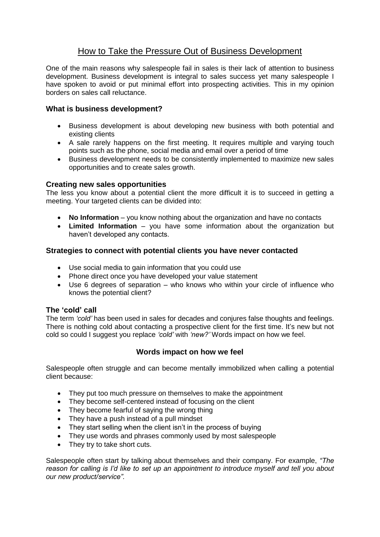# How to Take the Pressure Out of Business Development

One of the main reasons why salespeople fail in sales is their lack of attention to business development. Business development is integral to sales success yet many salespeople I have spoken to avoid or put minimal effort into prospecting activities. This in my opinion borders on sales call reluctance.

## **What is business development?**

- Business development is about developing new business with both potential and existing clients
- A sale rarely happens on the first meeting. It requires multiple and varying touch points such as the phone, social media and email over a period of time
- Business development needs to be consistently implemented to maximize new sales opportunities and to create sales growth.

## **Creating new sales opportunities**

The less you know about a potential client the more difficult it is to succeed in getting a meeting. Your targeted clients can be divided into:

- **No Information** you know nothing about the organization and have no contacts
- **Limited Information** you have some information about the organization but haven't developed any contacts.

## **Strategies to connect with potential clients you have never contacted**

- Use social media to gain information that you could use
- Phone direct once you have developed your value statement
- Use 6 degrees of separation who knows who within your circle of influence who knows the potential client?

#### **The 'cold' call**

The term *'cold'* has been used in sales for decades and conjures false thoughts and feelings. There is nothing cold about contacting a prospective client for the first time. It's new but not cold so could I suggest you replace *'cold'* with *'new?'* Words impact on how we feel.

## **Words impact on how we feel**

Salespeople often struggle and can become mentally immobilized when calling a potential client because:

- They put too much pressure on themselves to make the appointment
- They become self-centered instead of focusing on the client
- They become fearful of saying the wrong thing
- They have a push instead of a pull mindset
- They start selling when the client isn't in the process of buying
- They use words and phrases commonly used by most salespeople
- They try to take short cuts.

Salespeople often start by talking about themselves and their company. For example, *"The reason for calling is I'd like to set up an appointment to introduce myself and tell you about our new product/service".*